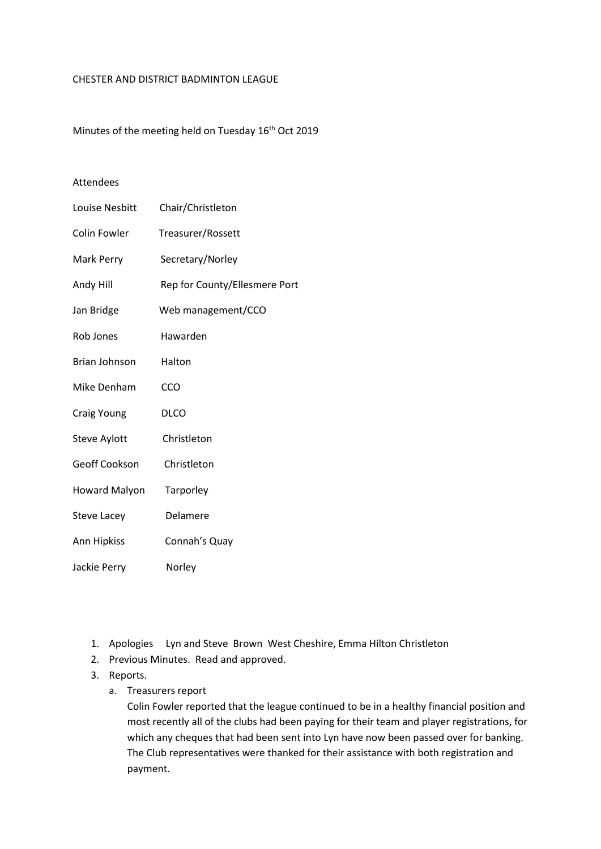#### CHESTER AND DISTRICT BADMINTON LEAGUE

Minutes of the meeting held on Tuesday 16<sup>th</sup> Oct 2019

# Attendees

| Louise Nesbitt       | Chair/Christleton             |
|----------------------|-------------------------------|
| <b>Colin Fowler</b>  | Treasurer/Rossett             |
| Mark Perry           | Secretary/Norley              |
| Andy Hill            | Rep for County/Ellesmere Port |
| Jan Bridge           | Web management/CCO            |
| Rob Jones            | Hawarden                      |
| Brian Johnson        | Halton                        |
| Mike Denham          | CCO                           |
| Craig Young          | <b>DLCO</b>                   |
| <b>Steve Aylott</b>  | Christleton                   |
| Geoff Cookson        | Christleton                   |
| <b>Howard Malyon</b> | Tarporley                     |
| <b>Steve Lacey</b>   | Delamere                      |
| Ann Hipkiss          | Connah's Quay                 |
| Jackie Perry         | Norley                        |

- 1. Apologies Lyn and Steve Brown West Cheshire, Emma Hilton Christleton
- 2. Previous Minutes. Read and approved.
- 3. Reports.
	- a. Treasurers report

Colin Fowler reported that the league continued to be in a healthy financial position and most recently all of the clubs had been paying for their team and player registrations, for which any cheques that had been sent into Lyn have now been passed over for banking. The Club representatives were thanked for their assistance with both registration and payment.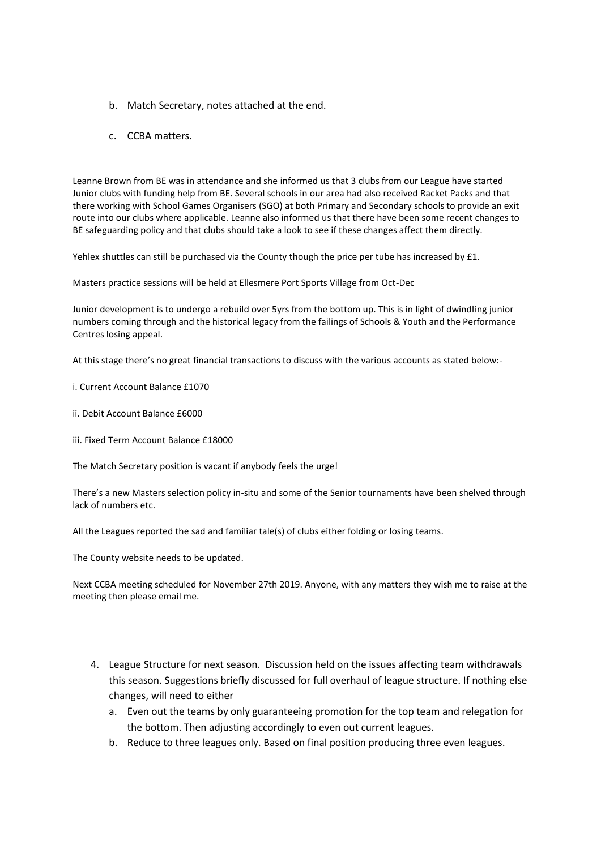- b. Match Secretary, notes attached at the end.
- c. CCBA matters.

Leanne Brown from BE was in attendance and she informed us that 3 clubs from our League have started Junior clubs with funding help from BE. Several schools in our area had also received Racket Packs and that there working with School Games Organisers (SGO) at both Primary and Secondary schools to provide an exit route into our clubs where applicable. Leanne also informed us that there have been some recent changes to BE safeguarding policy and that clubs should take a look to see if these changes affect them directly.

Yehlex shuttles can still be purchased via the County though the price per tube has increased by £1.

Masters practice sessions will be held at Ellesmere Port Sports Village from Oct-Dec

Junior development is to undergo a rebuild over 5yrs from the bottom up. This is in light of dwindling junior numbers coming through and the historical legacy from the failings of Schools & Youth and the Performance Centres losing appeal.

At this stage there's no great financial transactions to discuss with the various accounts as stated below:-

i. Current Account Balance £1070

- ii. Debit Account Balance £6000
- iii. Fixed Term Account Balance £18000

The Match Secretary position is vacant if anybody feels the urge!

There's a new Masters selection policy in-situ and some of the Senior tournaments have been shelved through lack of numbers etc.

All the Leagues reported the sad and familiar tale(s) of clubs either folding or losing teams.

The County website needs to be updated.

Next CCBA meeting scheduled for November 27th 2019. Anyone, with any matters they wish me to raise at the meeting then please email me.

- 4. League Structure for next season. Discussion held on the issues affecting team withdrawals this season. Suggestions briefly discussed for full overhaul of league structure. If nothing else changes, will need to either
	- a. Even out the teams by only guaranteeing promotion for the top team and relegation for the bottom. Then adjusting accordingly to even out current leagues.
	- b. Reduce to three leagues only. Based on final position producing three even leagues.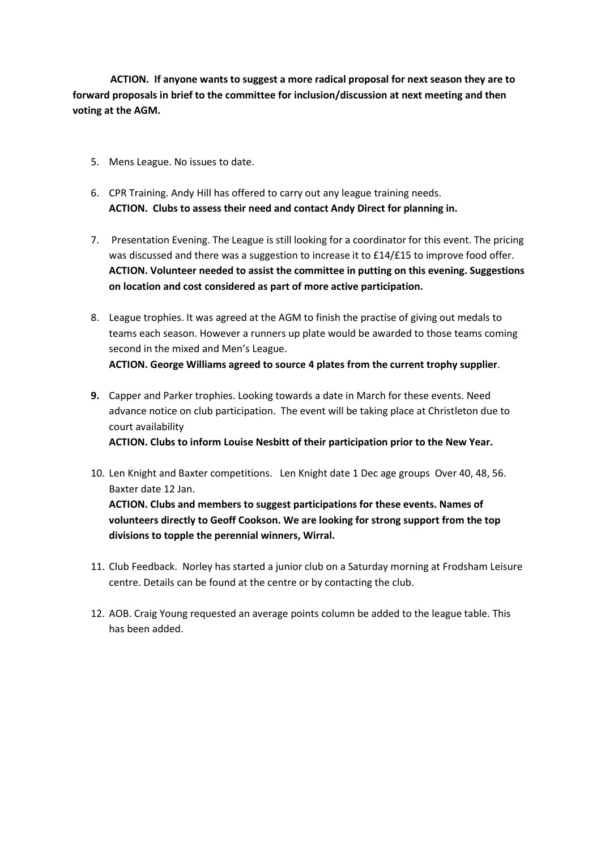**ACTION. If anyone wants to suggest a more radical proposal for next season they are to forward proposals in brief to the committee for inclusion/discussion at next meeting and then voting at the AGM.**

- 5. Mens League. No issues to date.
- 6. CPR Training. Andy Hill has offered to carry out any league training needs. **ACTION. Clubs to assess their need and contact Andy Direct for planning in.**
- 7. Presentation Evening. The League is still looking for a coordinator for this event. The pricing was discussed and there was a suggestion to increase it to £14/£15 to improve food offer. **ACTION. Volunteer needed to assist the committee in putting on this evening. Suggestions on location and cost considered as part of more active participation.**
- 8. League trophies. It was agreed at the AGM to finish the practise of giving out medals to teams each season. However a runners up plate would be awarded to those teams coming second in the mixed and Men's League. **ACTION. George Williams agreed to source 4 plates from the current trophy supplier**.
- **9.** Capper and Parker trophies. Looking towards a date in March for these events. Need advance notice on club participation. The event will be taking place at Christleton due to court availability **ACTION. Clubs to inform Louise Nesbitt of their participation prior to the New Year.**
- 10. Len Knight and Baxter competitions. Len Knight date 1 Dec age groups Over 40, 48, 56. Baxter date 12 Jan. **ACTION. Clubs and members to suggest participations for these events. Names of volunteers directly to Geoff Cookson. We are looking for strong support from the top divisions to topple the perennial winners, Wirral.**
- 11. Club Feedback. Norley has started a junior club on a Saturday morning at Frodsham Leisure centre. Details can be found at the centre or by contacting the club.
- 12. AOB. Craig Young requested an average points column be added to the league table. This has been added.